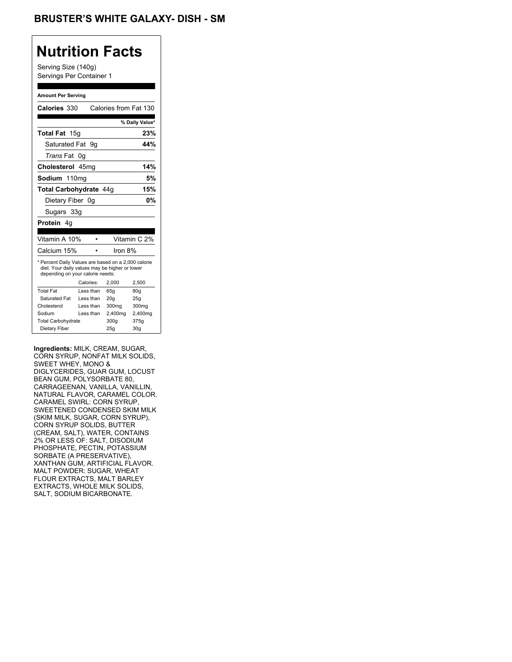Serving Size (140g) Servings Per Container 1

#### **Amount Per Serving**

| Calories 330                                                                                                                              |    |           | Calories from Fat 130 |                |
|-------------------------------------------------------------------------------------------------------------------------------------------|----|-----------|-----------------------|----------------|
|                                                                                                                                           |    |           |                       | % Daily Value* |
| <b>Total Fat</b> 15g                                                                                                                      |    |           |                       | 23%            |
| Saturated Fat                                                                                                                             |    | 9g        |                       | 44%            |
| <i>Trans</i> Fat                                                                                                                          | 0g |           |                       |                |
| Cholesterol 45mg                                                                                                                          |    |           |                       | 14%            |
| Sodium 110mg                                                                                                                              |    |           |                       | 5%             |
| Total Carbohydrate 44q                                                                                                                    |    |           |                       | 15%            |
| Dietary Fiber 0q                                                                                                                          |    |           |                       | 0%             |
| Sugars 33g                                                                                                                                |    |           |                       |                |
| <b>Protein 4g</b>                                                                                                                         |    |           |                       |                |
|                                                                                                                                           |    |           |                       |                |
| Vitamin A 10%                                                                                                                             |    |           |                       | Vitamin C 2%   |
| Calcium 15%                                                                                                                               |    |           | Iron 8%               |                |
| * Percent Daily Values are based on a 2,000 calorie<br>diet. Your daily values may be higher or lower<br>depending on your calorie needs: |    |           |                       |                |
|                                                                                                                                           |    | Calories: | 2.000                 | 2,500          |
| <b>Total Fat</b>                                                                                                                          |    | Less than | 65q                   | 80q            |
| Saturated Fat                                                                                                                             |    | Less than | 20q                   | 25q            |
| Cholesterol                                                                                                                               |    | Less than | 300mg                 | 300mg          |
| Sodium                                                                                                                                    |    | Less than | 2,400mg               | 2,400mg        |
| <b>Total Carbohydrate</b>                                                                                                                 |    |           | 300q                  | 375g           |
| Dietary Fiber                                                                                                                             |    |           | 25q                   | 30q            |

**Ingredients:** MILK, CREAM, SUGAR, CORN SYRUP, NONFAT MILK SOLIDS, SWEET WHEY, MONO & DIGLYCERIDES, GUAR GUM, LOCUST BEAN GUM, POLYSORBATE 80, CARRAGEENAN, VANILLA, VANILLIN, NATURAL FLAVOR, CARAMEL COLOR. CARAMEL SWIRL: CORN SYRUP, SWEETENED CONDENSED SKIM MILK (SKIM MILK, SUGAR, CORN SYRUP), CORN SYRUP SOLIDS, BUTTER (CREAM, SALT), WATER, CONTAINS 2% OR LESS OF: SALT, DISODIUM PHOSPHATE, PECTIN, POTASSIUM SORBATE (A PRESERVATIVE), XANTHAN GUM, ARTIFICIAL FLAVOR. MALT POWDER: SUGAR, WHEAT FLOUR EXTRACTS, MALT BARLEY EXTRACTS, WHOLE MILK SOLIDS, SALT, SODIUM BICARBONATE.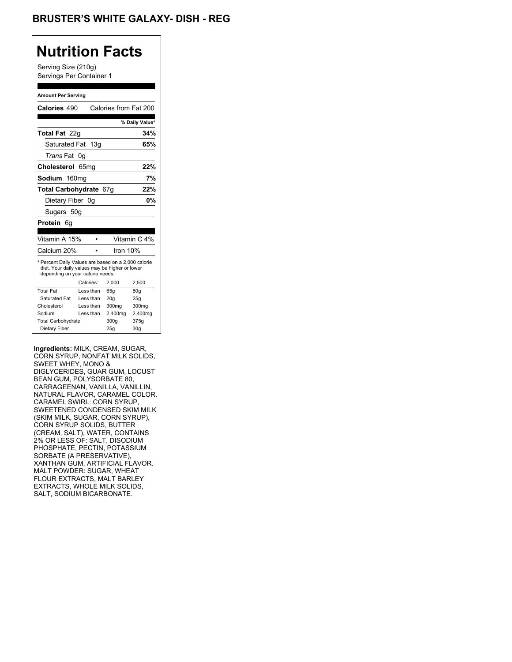Serving Size (210g) Servings Per Container 1

#### **Amount Per Serving**

| Calories 490                                                                                                                              |                  |           | Calories from Fat 200 |                 |
|-------------------------------------------------------------------------------------------------------------------------------------------|------------------|-----------|-----------------------|-----------------|
|                                                                                                                                           |                  |           |                       |                 |
|                                                                                                                                           |                  |           |                       | % Daily Value*  |
| <b>Total Fat</b> 22q                                                                                                                      |                  |           |                       | 34%             |
| Saturated Fat 13g                                                                                                                         |                  |           |                       | 65%             |
| <i>Trans</i> Fat                                                                                                                          | 0g               |           |                       |                 |
| Cholesterol                                                                                                                               | 65 <sub>mq</sub> |           |                       | 22%             |
| Sodium 160mg                                                                                                                              |                  |           |                       | 7%              |
| Total Carbohydrate 67g                                                                                                                    |                  |           |                       | 22%             |
| Dietary Fiber 0g                                                                                                                          |                  |           |                       | 0%              |
| Sugars 50g                                                                                                                                |                  |           |                       |                 |
| Protein<br>6q                                                                                                                             |                  |           |                       |                 |
|                                                                                                                                           |                  |           |                       |                 |
| Vitamin A 15%                                                                                                                             |                  |           |                       | Vitamin C 4%    |
| Calcium 20%                                                                                                                               |                  |           | Iron 10%              |                 |
| * Percent Daily Values are based on a 2,000 calorie<br>diet. Your daily values may be higher or lower<br>depending on your calorie needs: |                  |           |                       |                 |
|                                                                                                                                           |                  | Calories: | 2,000                 | 2,500           |
| <b>Total Fat</b>                                                                                                                          |                  | Less than | 65q                   | 80q             |
| Saturated Fat                                                                                                                             |                  | Less than | 20q                   | 25q             |
| Cholesterol                                                                                                                               |                  | Less than | 300mg                 | 300mg           |
| Sodium                                                                                                                                    |                  | Less than | 2,400mg               | 2,400mg         |
| <b>Total Carbohydrate</b>                                                                                                                 |                  |           | 300g                  | 375g            |
| Dietary Fiber                                                                                                                             |                  |           | 25q                   | 30 <sub>g</sub> |

**Ingredients:** MILK, CREAM, SUGAR, CORN SYRUP, NONFAT MILK SOLIDS, SWEET WHEY, MONO & DIGLYCERIDES, GUAR GUM, LOCUST BEAN GUM, POLYSORBATE 80, CARRAGEENAN, VANILLA, VANILLIN, NATURAL FLAVOR, CARAMEL COLOR. CARAMEL SWIRL: CORN SYRUP, SWEETENED CONDENSED SKIM MILK (SKIM MILK, SUGAR, CORN SYRUP), CORN SYRUP SOLIDS, BUTTER (CREAM, SALT), WATER, CONTAINS 2% OR LESS OF: SALT, DISODIUM PHOSPHATE, PECTIN, POTASSIUM SORBATE (A PRESERVATIVE), XANTHAN GUM, ARTIFICIAL FLAVOR. MALT POWDER: SUGAR, WHEAT FLOUR EXTRACTS, MALT BARLEY EXTRACTS, WHOLE MILK SOLIDS, SALT, SODIUM BICARBONATE.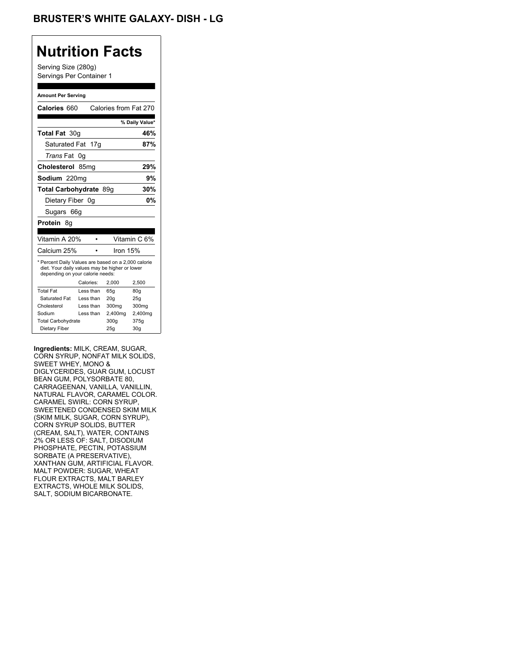Serving Size (280g) Servings Per Container 1

#### **Amount Per Serving**

| Calories 660                                                                                                                              |           |           | Calories from Fat 270 |                 |
|-------------------------------------------------------------------------------------------------------------------------------------------|-----------|-----------|-----------------------|-----------------|
|                                                                                                                                           |           |           |                       | % Daily Value*  |
| Total Fat 30q                                                                                                                             |           |           |                       | 46%             |
| Saturated Fat 17g                                                                                                                         |           |           |                       | 87%             |
| <i>Trans</i> Fat                                                                                                                          | 0q        |           |                       |                 |
| Cholesterol 85mg                                                                                                                          |           |           |                       | 29%             |
| Sodium 220mg                                                                                                                              |           |           |                       | 9%              |
| Total Carbohydrate 89g                                                                                                                    |           |           |                       | 30%             |
| Dietary Fiber 0q                                                                                                                          |           |           |                       | 0%              |
| Sugars 66g                                                                                                                                |           |           |                       |                 |
| Protein<br>8q                                                                                                                             |           |           |                       |                 |
|                                                                                                                                           |           |           |                       |                 |
| Vitamin A 20%                                                                                                                             |           |           |                       | Vitamin C 6%    |
| Calcium 25%                                                                                                                               |           |           | Iron 15%              |                 |
| * Percent Daily Values are based on a 2,000 calorie<br>diet. Your daily values may be higher or lower<br>depending on your calorie needs: |           |           |                       |                 |
|                                                                                                                                           | Calories: |           | 2.000                 | 2,500           |
| <b>Total Fat</b>                                                                                                                          |           | Less than | 65q                   | 80q             |
| Saturated Fat                                                                                                                             |           | Less than | 20q                   | 25q             |
| Cholesterol                                                                                                                               |           | Less than | 300mg                 | 300mg           |
| Sodium                                                                                                                                    |           | Less than | 2,400mg               | 2,400mg         |
| <b>Total Carbohydrate</b>                                                                                                                 |           |           | 300g                  | 375g            |
| Dietary Fiber                                                                                                                             |           |           | 25q                   | 30 <sub>q</sub> |

**Ingredients:** MILK, CREAM, SUGAR, CORN SYRUP, NONFAT MILK SOLIDS, SWEET WHEY, MONO & DIGLYCERIDES, GUAR GUM, LOCUST BEAN GUM, POLYSORBATE 80, CARRAGEENAN, VANILLA, VANILLIN, NATURAL FLAVOR, CARAMEL COLOR. CARAMEL SWIRL: CORN SYRUP, SWEETENED CONDENSED SKIM MILK (SKIM MILK, SUGAR, CORN SYRUP), CORN SYRUP SOLIDS, BUTTER (CREAM, SALT), WATER, CONTAINS 2% OR LESS OF: SALT, DISODIUM PHOSPHATE, PECTIN, POTASSIUM SORBATE (A PRESERVATIVE), XANTHAN GUM, ARTIFICIAL FLAVOR. MALT POWDER: SUGAR, WHEAT FLOUR EXTRACTS, MALT BARLEY EXTRACTS, WHOLE MILK SOLIDS, SALT, SODIUM BICARBONATE.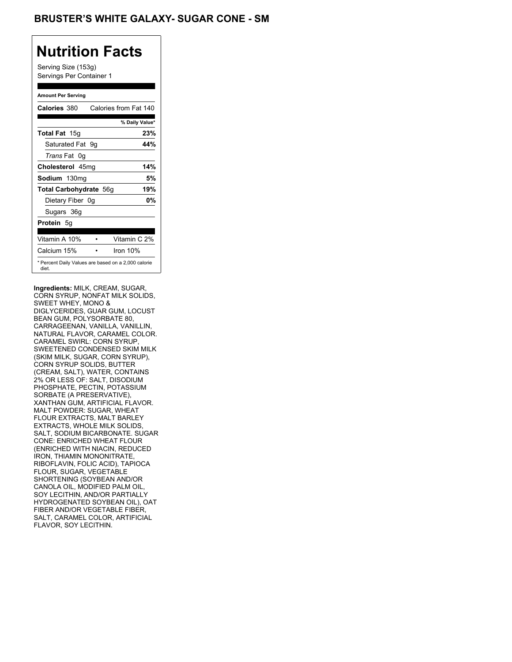## BRUSTER'S WHITE GALAXY- SUGAR CONE - SM

## **Nutrition Facts**

Serving Size (153g) Servings Per Container 1

#### **Amount Per Serving**

| Calories 380           | Calories from Fat 140                               |
|------------------------|-----------------------------------------------------|
|                        | % Daily Value*                                      |
| <b>Total Fat</b> 15g   | 23%                                                 |
| Saturated Fat 9q       | 44%                                                 |
| <i>Trans</i> Fat 0q    |                                                     |
| Cholesterol 45mg       | 14%                                                 |
| Sodium 130mg           | 5%                                                  |
| Total Carbohydrate 56g | 19%                                                 |
| Dietary Fiber 0g       | 0%                                                  |
| Sugars 36g             |                                                     |
| <b>Protein</b> 5q      |                                                     |
| Vitamin A 10%          | Vitamin C 2%                                        |
| Calcium 15%            | Iron $10\%$                                         |
| diet.                  | * Percent Daily Values are based on a 2,000 calorie |

**Ingredients:** MILK, CREAM, SUGAR, CORN SYRUP, NONFAT MILK SOLIDS, SWEET WHEY, MONO & DIGLYCERIDES, GUAR GUM, LOCUST BEAN GUM, POLYSORBATE 80, CARRAGEENAN, VANILLA, VANILLIN, NATURAL FLAVOR, CARAMEL COLOR. CARAMEL SWIRL: CORN SYRUP, SWEETENED CONDENSED SKIM MILK (SKIM MILK, SUGAR, CORN SYRUP), CORN SYRUP SOLIDS, BUTTER (CREAM, SALT), WATER, CONTAINS 2% OR LESS OF: SALT, DISODIUM PHOSPHATE, PECTIN, POTASSIUM SORBATE (A PRESERVATIVE), XANTHAN GUM, ARTIFICIAL FLAVOR. MALT POWDER: SUGAR, WHEAT FLOUR EXTRACTS, MALT BARLEY EXTRACTS, WHOLE MILK SOLIDS, SALT, SODIUM BICARBONATE. SUGAR CONE: ENRICHED WHEAT FLOUR (ENRICHED WITH NIACIN, REDUCED IRON, THIAMIN MONONITRATE, RIBOFLAVIN, FOLIC ACID), TAPIOCA FLOUR, SUGAR, VEGETABLE SHORTENING (SOYBEAN AND/OR CANOLA OIL, MODIFIED PALM OIL, SOY LECITHIN, AND/OR PARTIALLY HYDROGENATED SOYBEAN OIL), OAT FIBER AND/OR VEGETABLE FIBER, SALT, CARAMEL COLOR, ARTIFICIAL FLAVOR, SOY LECITHIN.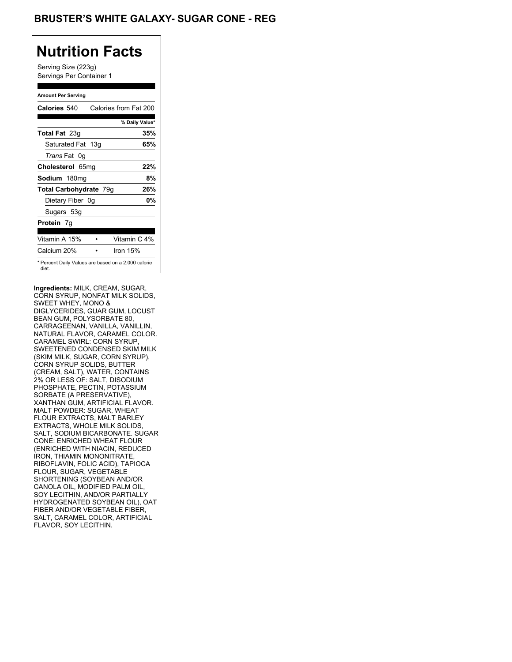## **BRUSTER'S WHITE GALAXY- SUGAR CONE - REG**

# **Nutrition Facts**

Serving Size (223g) Servings Per Container 1

#### **Amount Per Serving**

| Calories 540                                                 |            | Calories from Fat 200 |
|--------------------------------------------------------------|------------|-----------------------|
|                                                              |            | % Daily Value*        |
| <b>Total Fat</b> 23g                                         |            | 35%                   |
| Saturated Fat 13g                                            |            | 65%                   |
| <i>Trans</i> Fat 0q                                          |            |                       |
| Cholesterol 65mg                                             |            | 22%                   |
| Sodium 180mg                                                 |            | 8%                    |
| Total Carbohydrate 79g                                       |            | 26%                   |
| Dietary Fiber 0g                                             |            | 0%                    |
| Sugars 53g                                                   |            |                       |
| <b>Protein</b> 7q                                            |            |                       |
| Vitamin A 15%                                                |            | Vitamin C 4%          |
| Calcium 20%                                                  | Iron $15%$ |                       |
| * Percent Daily Values are based on a 2,000 calorie<br>diet. |            |                       |

**Ingredients:** MILK, CREAM, SUGAR, CORN SYRUP, NONFAT MILK SOLIDS, SWEET WHEY, MONO & DIGLYCERIDES, GUAR GUM, LOCUST BEAN GUM, POLYSORBATE 80, CARRAGEENAN, VANILLA, VANILLIN, NATURAL FLAVOR, CARAMEL COLOR. CARAMEL SWIRL: CORN SYRUP, SWEETENED CONDENSED SKIM MILK (SKIM MILK, SUGAR, CORN SYRUP), CORN SYRUP SOLIDS, BUTTER (CREAM, SALT), WATER, CONTAINS 2% OR LESS OF: SALT, DISODIUM PHOSPHATE, PECTIN, POTASSIUM SORBATE (A PRESERVATIVE), XANTHAN GUM, ARTIFICIAL FLAVOR. MALT POWDER: SUGAR, WHEAT FLOUR EXTRACTS, MALT BARLEY EXTRACTS, WHOLE MILK SOLIDS, SALT, SODIUM BICARBONATE. SUGAR CONE: ENRICHED WHEAT FLOUR (ENRICHED WITH NIACIN, REDUCED IRON, THIAMIN MONONITRATE, RIBOFLAVIN, FOLIC ACID), TAPIOCA FLOUR, SUGAR, VEGETABLE SHORTENING (SOYBEAN AND/OR CANOLA OIL, MODIFIED PALM OIL, SOY LECITHIN, AND/OR PARTIALLY HYDROGENATED SOYBEAN OIL), OAT FIBER AND/OR VEGETABLE FIBER, SALT, CARAMEL COLOR, ARTIFICIAL FLAVOR, SOY LECITHIN.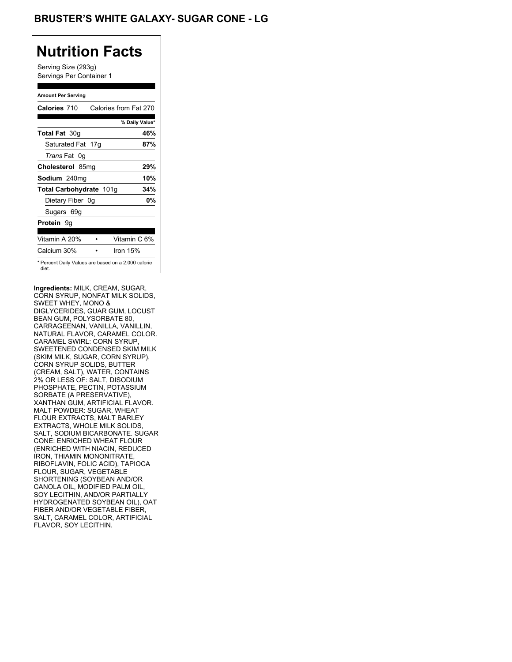## **BRUSTER'S WHITE GALAXY- SUGAR CONE - LG**

## **Nutrition Facts**

Serving Size (293g) Servings Per Container 1

#### **Amount Per Serving**

| Calories 710                                                 | Calories from Fat 270 |                |
|--------------------------------------------------------------|-----------------------|----------------|
|                                                              |                       | % Daily Value* |
| <b>Total Fat 30g</b>                                         |                       | 46%            |
| Saturated Fat 17g                                            |                       | 87%            |
| <i>Trans</i> Fat 0q                                          |                       |                |
| Cholesterol 85mg                                             |                       | 29%            |
| Sodium 240mg                                                 |                       | 10%            |
| Total Carbohydrate 101g                                      |                       | 34%            |
| Dietary Fiber 0g                                             |                       | 0%             |
| Sugars 69g                                                   |                       |                |
| <b>Protein</b> 9q                                            |                       |                |
| Vitamin A 20%                                                |                       | Vitamin C 6%   |
| Calcium 30%                                                  | Iron $15%$            |                |
| * Percent Daily Values are based on a 2,000 calorie<br>diet. |                       |                |

**Ingredients:** MILK, CREAM, SUGAR, CORN SYRUP, NONFAT MILK SOLIDS, SWEET WHEY, MONO & DIGLYCERIDES, GUAR GUM, LOCUST BEAN GUM, POLYSORBATE 80, CARRAGEENAN, VANILLA, VANILLIN, NATURAL FLAVOR, CARAMEL COLOR. CARAMEL SWIRL: CORN SYRUP, SWEETENED CONDENSED SKIM MILK (SKIM MILK, SUGAR, CORN SYRUP), CORN SYRUP SOLIDS, BUTTER (CREAM, SALT), WATER, CONTAINS 2% OR LESS OF: SALT, DISODIUM PHOSPHATE, PECTIN, POTASSIUM SORBATE (A PRESERVATIVE), XANTHAN GUM, ARTIFICIAL FLAVOR. MALT POWDER: SUGAR, WHEAT FLOUR EXTRACTS, MALT BARLEY EXTRACTS, WHOLE MILK SOLIDS, SALT, SODIUM BICARBONATE. SUGAR CONE: ENRICHED WHEAT FLOUR (ENRICHED WITH NIACIN, REDUCED IRON, THIAMIN MONONITRATE, RIBOFLAVIN, FOLIC ACID), TAPIOCA FLOUR, SUGAR, VEGETABLE SHORTENING (SOYBEAN AND/OR CANOLA OIL, MODIFIED PALM OIL, SOY LECITHIN, AND/OR PARTIALLY HYDROGENATED SOYBEAN OIL), OAT FIBER AND/OR VEGETABLE FIBER, SALT, CARAMEL COLOR, ARTIFICIAL FLAVOR, SOY LECITHIN.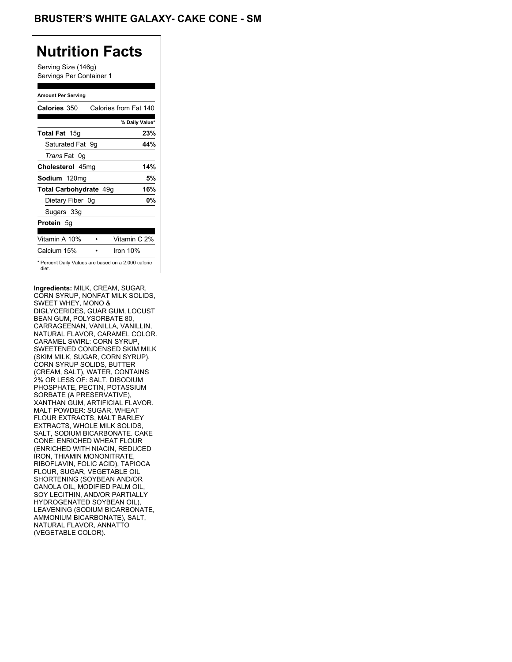## BRUSTER'S WHITE GALAXY- CAKE CONE - SM

## **Nutrition Facts**

Serving Size (146g) Servings Per Container 1

#### **Amount Per Serving**

| Calories 350                                                 | Calories from Fat 140 |     |
|--------------------------------------------------------------|-----------------------|-----|
|                                                              | % Daily Value*        |     |
| <b>Total Fat</b> 15g                                         |                       | 23% |
| Saturated Fat 9g                                             |                       | 44% |
| <i>Trans</i> Fat 0q                                          |                       |     |
| Cholesterol 45mg                                             |                       | 14% |
| Sodium 120mg                                                 |                       | 5%  |
| Total Carbohydrate 49g                                       |                       | 16% |
| Dietary Fiber 0g                                             |                       | 0%  |
| Sugars 33g                                                   |                       |     |
| <b>Protein</b> 5g                                            |                       |     |
| Vitamin A 10%                                                | Vitamin C 2%          |     |
| Calcium 15%                                                  | Iron $10%$            |     |
| * Percent Daily Values are based on a 2,000 calorie<br>diet. |                       |     |

**Ingredients:** MILK, CREAM, SUGAR, CORN SYRUP, NONFAT MILK SOLIDS, SWEET WHEY, MONO & DIGLYCERIDES, GUAR GUM, LOCUST BEAN GUM, POLYSORBATE 80, CARRAGEENAN, VANILLA, VANILLIN, NATURAL FLAVOR, CARAMEL COLOR. CARAMEL SWIRL: CORN SYRUP, SWEETENED CONDENSED SKIM MILK (SKIM MILK, SUGAR, CORN SYRUP), CORN SYRUP SOLIDS, BUTTER (CREAM, SALT), WATER, CONTAINS 2% OR LESS OF: SALT, DISODIUM PHOSPHATE, PECTIN, POTASSIUM SORBATE (A PRESERVATIVE), XANTHAN GUM, ARTIFICIAL FLAVOR. MALT POWDER: SUGAR, WHEAT FLOUR EXTRACTS, MALT BARLEY EXTRACTS, WHOLE MILK SOLIDS, SALT, SODIUM BICARBONATE. CAKE CONE: ENRICHED WHEAT FLOUR (ENRICHED WITH NIACIN, REDUCED IRON, THIAMIN MONONITRATE, RIBOFLAVIN, FOLIC ACID), TAPIOCA FLOUR, SUGAR, VEGETABLE OIL SHORTENING (SOYBEAN AND/OR CANOLA OIL, MODIFIED PALM OIL, SOY LECITHIN, AND/OR PARTIALLY HYDROGENATED SOYBEAN OIL), LEAVENING (SODIUM BICARBONATE, AMMONIUM BICARBONATE), SALT, NATURAL FLAVOR, ANNATTO (VEGETABLE COLOR).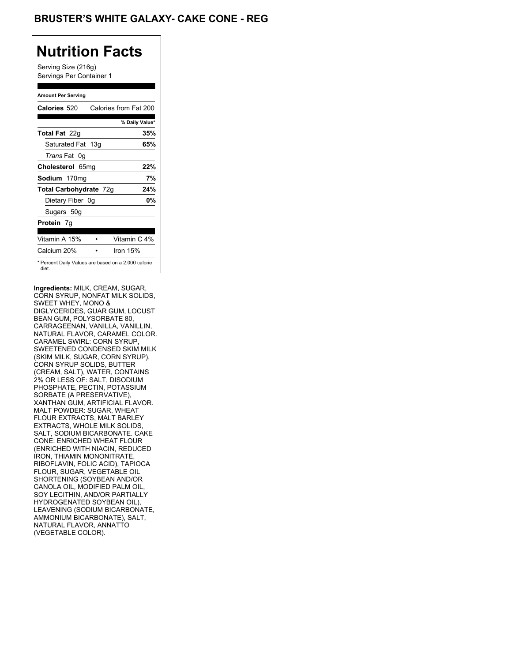## **BRUSTER'S WHITE GALAXY- CAKE CONE - REG**

## **Nutrition Facts**

Serving Size (216g) Servings Per Container 1

#### **Amount Per Serving**

| Calories 520                                                 | Calories from Fat 200 |     |
|--------------------------------------------------------------|-----------------------|-----|
|                                                              | % Daily Value*        |     |
| <b>Total Fat</b> 22g                                         |                       | 35% |
| Saturated Fat 13g                                            | 65%                   |     |
| <i>Trans</i> Fat 0q                                          |                       |     |
| Cholesterol 65mg                                             | 22%                   |     |
| Sodium 170mg                                                 |                       | 7%  |
| Total Carbohydrate 72g                                       | 24%                   |     |
| Dietary Fiber 0g                                             |                       | 0%  |
| Sugars 50g                                                   |                       |     |
| <b>Protein</b> 7q                                            |                       |     |
| Vitamin A 15%                                                | Vitamin C 4%          |     |
| Calcium 20%                                                  | Iron $15%$            |     |
| * Percent Daily Values are based on a 2,000 calorie<br>diet. |                       |     |

**Ingredients:** MILK, CREAM, SUGAR, CORN SYRUP, NONFAT MILK SOLIDS, SWEET WHEY, MONO & DIGLYCERIDES, GUAR GUM, LOCUST BEAN GUM, POLYSORBATE 80, CARRAGEENAN, VANILLA, VANILLIN, NATURAL FLAVOR, CARAMEL COLOR. CARAMEL SWIRL: CORN SYRUP, SWEETENED CONDENSED SKIM MILK (SKIM MILK, SUGAR, CORN SYRUP), CORN SYRUP SOLIDS, BUTTER (CREAM, SALT), WATER, CONTAINS 2% OR LESS OF: SALT, DISODIUM PHOSPHATE, PECTIN, POTASSIUM SORBATE (A PRESERVATIVE), XANTHAN GUM, ARTIFICIAL FLAVOR. MALT POWDER: SUGAR, WHEAT FLOUR EXTRACTS, MALT BARLEY EXTRACTS, WHOLE MILK SOLIDS, SALT, SODIUM BICARBONATE. CAKE CONE: ENRICHED WHEAT FLOUR (ENRICHED WITH NIACIN, REDUCED IRON, THIAMIN MONONITRATE, RIBOFLAVIN, FOLIC ACID), TAPIOCA FLOUR, SUGAR, VEGETABLE OIL SHORTENING (SOYBEAN AND/OR CANOLA OIL, MODIFIED PALM OIL, SOY LECITHIN, AND/OR PARTIALLY HYDROGENATED SOYBEAN OIL), LEAVENING (SODIUM BICARBONATE, AMMONIUM BICARBONATE), SALT, NATURAL FLAVOR, ANNATTO (VEGETABLE COLOR).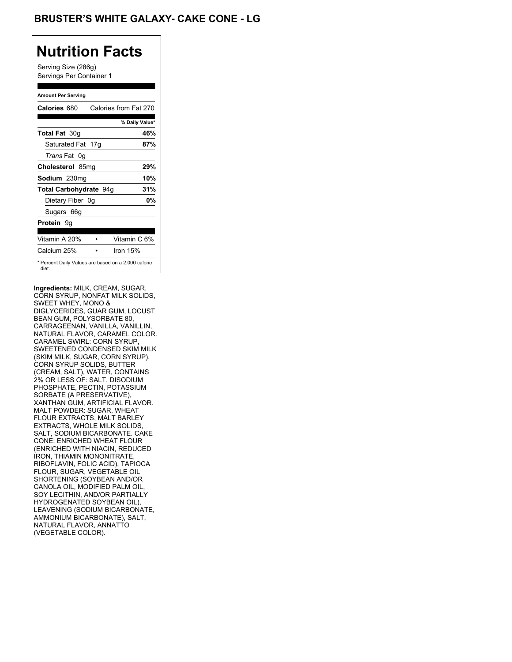## **BRUSTER'S WHITE GALAXY- CAKE CONE - LG**

## **Nutrition Facts**

Serving Size (286g) Servings Per Container 1

#### **Amount Per Serving**

| Calories 680                                                 | Calories from Fat 270 |     |
|--------------------------------------------------------------|-----------------------|-----|
|                                                              | % Daily Value*        |     |
| <b>Total Fat 30g</b>                                         |                       | 46% |
| Saturated Fat 17g                                            |                       | 87% |
| <i>Trans</i> Fat 0q                                          |                       |     |
| Cholesterol 85mg                                             |                       | 29% |
| Sodium 230mg                                                 |                       | 10% |
| Total Carbohydrate 94g                                       |                       | 31% |
| Dietary Fiber 0g                                             |                       | 0%  |
| Sugars 66g                                                   |                       |     |
| <b>Protein</b> 9q                                            |                       |     |
| Vitamin A 20%                                                | Vitamin C 6%          |     |
| Calcium 25%                                                  | Iron 15%              |     |
| * Percent Daily Values are based on a 2,000 calorie<br>diet. |                       |     |

**Ingredients:** MILK, CREAM, SUGAR, CORN SYRUP, NONFAT MILK SOLIDS, SWEET WHEY, MONO & DIGLYCERIDES, GUAR GUM, LOCUST BEAN GUM, POLYSORBATE 80, CARRAGEENAN, VANILLA, VANILLIN, NATURAL FLAVOR, CARAMEL COLOR. CARAMEL SWIRL: CORN SYRUP, SWEETENED CONDENSED SKIM MILK (SKIM MILK, SUGAR, CORN SYRUP), CORN SYRUP SOLIDS, BUTTER (CREAM, SALT), WATER, CONTAINS 2% OR LESS OF: SALT, DISODIUM PHOSPHATE, PECTIN, POTASSIUM SORBATE (A PRESERVATIVE), XANTHAN GUM, ARTIFICIAL FLAVOR. MALT POWDER: SUGAR, WHEAT FLOUR EXTRACTS, MALT BARLEY EXTRACTS, WHOLE MILK SOLIDS, SALT, SODIUM BICARBONATE. CAKE CONE: ENRICHED WHEAT FLOUR (ENRICHED WITH NIACIN, REDUCED IRON, THIAMIN MONONITRATE, RIBOFLAVIN, FOLIC ACID), TAPIOCA FLOUR, SUGAR, VEGETABLE OIL SHORTENING (SOYBEAN AND/OR CANOLA OIL, MODIFIED PALM OIL, SOY LECITHIN, AND/OR PARTIALLY HYDROGENATED SOYBEAN OIL), LEAVENING (SODIUM BICARBONATE, AMMONIUM BICARBONATE), SALT, NATURAL FLAVOR, ANNATTO (VEGETABLE COLOR).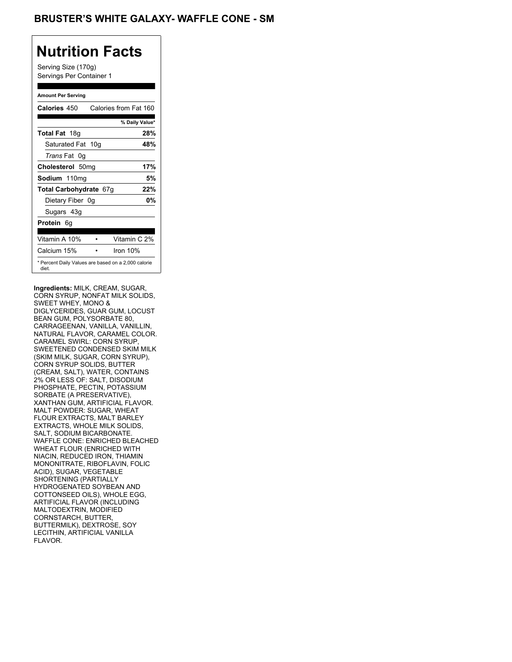Serving Size (170g) Servings Per Container 1

#### **Amount Per Serving**

| Calories 450                                                 |            | Calories from Fat 160 |
|--------------------------------------------------------------|------------|-----------------------|
|                                                              |            | % Daily Value*        |
| <b>Total Fat</b> 18g                                         |            | 28%                   |
| Saturated Fat 10g                                            |            | 48%                   |
| <i>Trans</i> Fat 0q                                          |            |                       |
| Cholesterol 50mg                                             |            | 17%                   |
| Sodium 110mg                                                 |            | 5%                    |
| Total Carbohydrate 67g                                       |            | 22%                   |
| Dietary Fiber 0g                                             |            | 0%                    |
| Sugars 43g                                                   |            |                       |
| <b>Protein</b> 6g                                            |            |                       |
| Vitamin A 10%                                                |            | Vitamin C 2%          |
| Calcium 15%                                                  | Iron $10%$ |                       |
| * Percent Daily Values are based on a 2,000 calorie<br>diet. |            |                       |

**Ingredients:** MILK, CREAM, SUGAR, CORN SYRUP, NONFAT MILK SOLIDS, SWEET WHEY, MONO & DIGLYCERIDES, GUAR GUM, LOCUST BEAN GUM, POLYSORBATE 80, CARRAGEENAN, VANILLA, VANILLIN, NATURAL FLAVOR, CARAMEL COLOR. CARAMEL SWIRL: CORN SYRUP, SWEETENED CONDENSED SKIM MILK (SKIM MILK, SUGAR, CORN SYRUP), CORN SYRUP SOLIDS, BUTTER (CREAM, SALT), WATER, CONTAINS 2% OR LESS OF: SALT, DISODIUM PHOSPHATE, PECTIN, POTASSIUM SORBATE (A PRESERVATIVE), XANTHAN GUM, ARTIFICIAL FLAVOR. MALT POWDER: SUGAR, WHEAT FLOUR EXTRACTS, MALT BARLEY EXTRACTS, WHOLE MILK SOLIDS, SALT, SODIUM BICARBONATE. WAFFLE CONE: ENRICHED BLEACHED WHEAT FLOUR (ENRICHED WITH NIACIN, REDUCED IRON, THIAMIN MONONITRATE, RIBOFLAVIN, FOLIC ACID), SUGAR, VEGETABLE SHORTENING (PARTIALLY HYDROGENATED SOYBEAN AND COTTONSEED OILS), WHOLE EGG, ARTIFICIAL FLAVOR (INCLUDING MALTODEXTRIN, MODIFIED CORNSTARCH, BUTTER, BUTTERMILK), DEXTROSE, SOY LECITHIN, ARTIFICIAL VANILLA FLAVOR.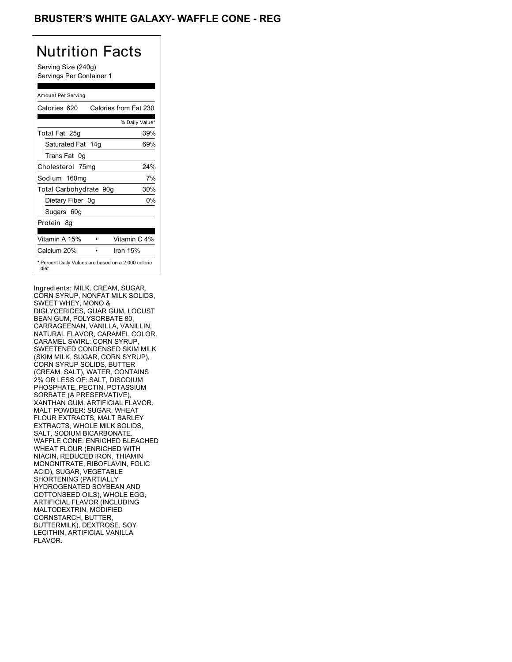## BRUSTER'S WHITE GALAXY- WAFFLE CONE - REG

# Nutrition Facts

Serving Size (240g) Servings Per Container 1

#### Amount Per Serving

| Calories 620                                                 | Calories from Fat 230 |
|--------------------------------------------------------------|-----------------------|
|                                                              | % Daily Value*        |
| Total Fat 25g                                                | 39%                   |
| Saturated Fat 14g                                            | 69%                   |
| Trans Fat 0q                                                 |                       |
| Cholesterol 75mg                                             | 24%                   |
| Sodium 160mg                                                 | 7%                    |
| Total Carbohydrate 90g                                       | 30%                   |
| Dietary Fiber 0g                                             | 0%                    |
| Sugars 60g                                                   |                       |
| Protein 8q                                                   |                       |
| Vitamin A 15%                                                | Vitamin C 4%          |
| Calcium 20%                                                  | Iron $15%$            |
| * Percent Daily Values are based on a 2,000 calorie<br>diet. |                       |

Ingredients: MILK, CREAM, SUGAR, CORN SYRUP, NONFAT MILK SOLIDS, SWEET WHEY, MONO & DIGLYCERIDES, GUAR GUM, LOCUST BEAN GUM, POLYSORBATE 80, CARRAGEENAN, VANILLA, VANILLIN, NATURAL FLAVOR, CARAMEL COLOR. CARAMEL SWIRL: CORN SYRUP, SWEETENED CONDENSED SKIM MILK (SKIM MILK, SUGAR, CORN SYRUP), CORN SYRUP SOLIDS, BUTTER (CREAM, SALT), WATER, CONTAINS 2% OR LESS OF: SALT, DISODIUM PHOSPHATE, PECTIN, POTASSIUM SORBATE (A PRESERVATIVE), XANTHAN GUM, ARTIFICIAL FLAVOR. MALT POWDER: SUGAR, WHEAT FLOUR EXTRACTS, MALT BARLEY EXTRACTS, WHOLE MILK SOLIDS, SALT, SODIUM BICARBONATE. WAFFLE CONE: ENRICHED BLEACHED WHEAT FLOUR (ENRICHED WITH NIACIN, REDUCED IRON, THIAMIN MONONITRATE, RIBOFLAVIN, FOLIC ACID), SUGAR, VEGETABLE SHORTENING (PARTIALLY HYDROGENATED SOYBEAN AND COTTONSEED OILS), WHOLE EGG, ARTIFICIAL FLAVOR (INCLUDING MALTODEXTRIN, MODIFIED CORNSTARCH, BUTTER, BUTTERMILK), DEXTROSE, SOY LECITHIN, ARTIFICIAL VANILLA FLAVOR.